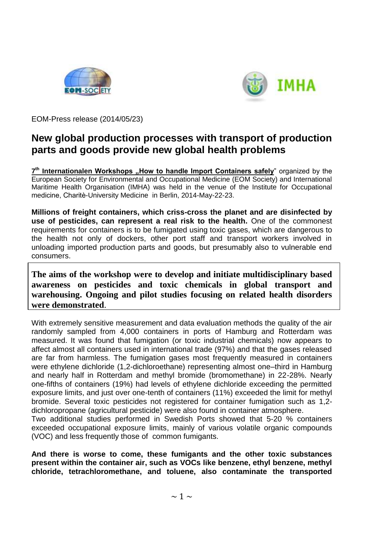



EOM-Press release (2014/05/23)

## **New global production processes with transport of production parts and goods provide new global health problems**

7<sup>th</sup> Internationalen Workshops "How to handle Import Containers safely<sup>"</sup> organized by the European Society for Environmental and Occupational Medicine (EOM Society) and International Maritime Health Organisation (IMHA) was held in the venue of the Institute for Occupational medicine, Charitѐ-University Medicine in Berlin, 2014-May-22-23.

**Millions of freight containers, which criss-cross the planet and are disinfected by use of pesticides, can represent a real risk to the health.** One of the commonest requirements for containers is to be fumigated using toxic gases, which are dangerous to the health not only of dockers, other port staff and transport workers involved in unloading imported production parts and goods, but presumably also to vulnerable end consumers.

**The aims of the workshop were to develop and initiate multidisciplinary based awareness on pesticides and toxic chemicals in global transport and warehousing. Ongoing and pilot studies focusing on related health disorders were demonstrated**.

With extremely sensitive measurement and data evaluation methods the quality of the air randomly sampled from 4,000 containers in ports of Hamburg and Rotterdam was measured. It was found that fumigation (or toxic industrial chemicals) now appears to affect almost all containers used in international trade (97%) and that the gases released are far from harmless. The fumigation gases most frequently measured in containers were ethylene dichloride (1,2-dichloroethane) representing almost one–third in Hamburg and nearly half in Rotterdam and methyl bromide (bromomethane) in 22-28%. Nearly one-fifths of containers (19%) had levels of ethylene dichloride exceeding the permitted exposure limits, and just over one-tenth of containers (11%) exceeded the limit for methyl bromide. Several toxic pesticides not registered for container fumigation such as 1,2 dichloropropane (agricultural pesticide) were also found in container atmosphere.

Two additional studies performed in Swedish Ports showed that 5-20 % containers exceeded occupational exposure limits, mainly of various volatile organic compounds (VOC) and less frequently those of common fumigants.

**And there is worse to come, these fumigants and the other toxic substances present within the container air, such as VOCs like benzene, ethyl benzene, methyl chloride, tetrachloromethane, and toluene, also contaminate the transported**